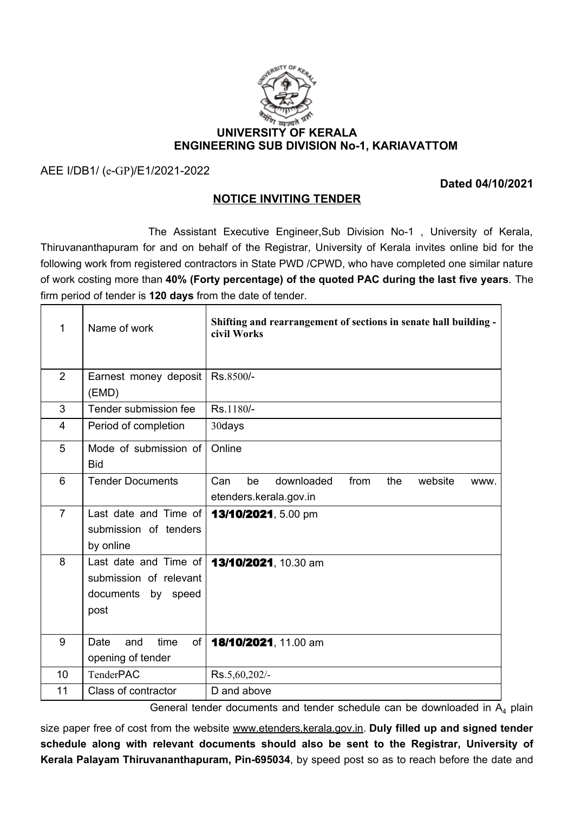

AEE I/DB1/ (e-GP)/E1/2021-2022

**Dated 04/10/2021**

## **NOTICE INVITING TENDER**

The Assistant Executive Engineer,Sub Division No-1 , University of Kerala, Thiruvananthapuram for and on behalf of the Registrar, University of Kerala invites online bid for the following work from registered contractors in State PWD /CPWD, who have completed one similar nature of work costing more than **40% (Forty percentage) of the quoted PAC during the last five years**. The firm period of tender is **120 days** from the date of tender.

| 1              | Name of work                                                                  | Shifting and rearrangement of sections in senate hall building -<br>civil Works     |
|----------------|-------------------------------------------------------------------------------|-------------------------------------------------------------------------------------|
| $\overline{2}$ | Earnest money deposit<br>(EMD)                                                | Rs.8500/-                                                                           |
| 3              | Tender submission fee                                                         | Rs.1180/-                                                                           |
| $\overline{4}$ | Period of completion                                                          | 30days                                                                              |
| 5              | Mode of submission of<br><b>Bid</b>                                           | Online                                                                              |
| 6              | <b>Tender Documents</b>                                                       | Can<br>downloaded<br>from<br>website<br>be<br>the<br>WWW.<br>etenders.kerala.gov.in |
| $\overline{7}$ | Last date and Time of<br>submission of tenders<br>by online                   | 13/10/2021, 5.00 pm                                                                 |
| 8              | Last date and Time of<br>submission of relevant<br>documents by speed<br>post | 13/10/2021, 10.30 am                                                                |
| 9              | time<br>of<br>Date<br>and<br>opening of tender                                | 18/10/2021, 11.00 am                                                                |
| 10             | <b>TenderPAC</b>                                                              | Rs.5,60,202/-                                                                       |
| 11             | Class of contractor                                                           | D and above                                                                         |

General tender documents and tender schedule can be downloaded in  $A_4$  plain

size paper free of cost from the website www.etenders.kerala.gov.in. **Duly filled up and signed tender schedule along with relevant documents should also be sent to the Registrar, University of Kerala Palayam Thiruvananthapuram, Pin-695034**, by speed post so as to reach before the date and